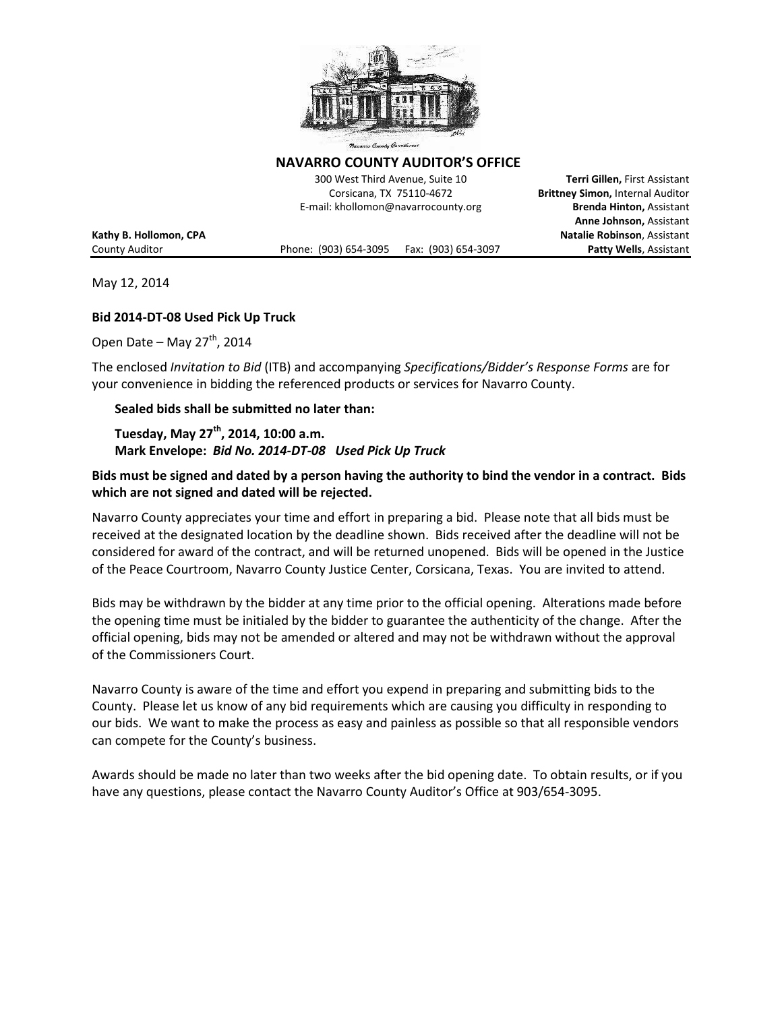

**NAVARRO COUNTY AUDITOR'S OFFICE** 

300 West Third Avenue, Suite 10 **Terri Gillen,** First Assistant Corsicana, TX 75110-4672 **Brittney Simon,** Internal Auditor E-mail: khollomon@navarrocounty.org **Brenda Hinton,** Assistant

County Auditor Phone: (903) 654-3095 Fax: (903) 654-3097 **Patty Wells**, Assistant

**Anne Johnson,** Assistant **Kathy B. Hollomon, CPA Natalie Robinson**, Assistant

May 12, 2014

#### **Bid 2014-DT-08 Used Pick Up Truck**

Open Date – May  $27<sup>th</sup>$ , 2014

The enclosed *Invitation to Bid* (ITB) and accompanying *Specifications/Bidder's Response Forms* are for your convenience in bidding the referenced products or services for Navarro County.

#### **Sealed bids shall be submitted no later than:**

**Tuesday, May 27th, 2014, 10:00 a.m. Mark Envelope:** *Bid No. 2014-DT-08 Used Pick Up Truck* 

### **Bids must be signed and dated by a person having the authority to bind the vendor in a contract. Bids which are not signed and dated will be rejected.**

Navarro County appreciates your time and effort in preparing a bid. Please note that all bids must be received at the designated location by the deadline shown. Bids received after the deadline will not be considered for award of the contract, and will be returned unopened. Bids will be opened in the Justice of the Peace Courtroom, Navarro County Justice Center, Corsicana, Texas. You are invited to attend.

Bids may be withdrawn by the bidder at any time prior to the official opening. Alterations made before the opening time must be initialed by the bidder to guarantee the authenticity of the change. After the official opening, bids may not be amended or altered and may not be withdrawn without the approval of the Commissioners Court.

Navarro County is aware of the time and effort you expend in preparing and submitting bids to the County. Please let us know of any bid requirements which are causing you difficulty in responding to our bids. We want to make the process as easy and painless as possible so that all responsible vendors can compete for the County's business.

Awards should be made no later than two weeks after the bid opening date. To obtain results, or if you have any questions, please contact the Navarro County Auditor's Office at 903/654-3095.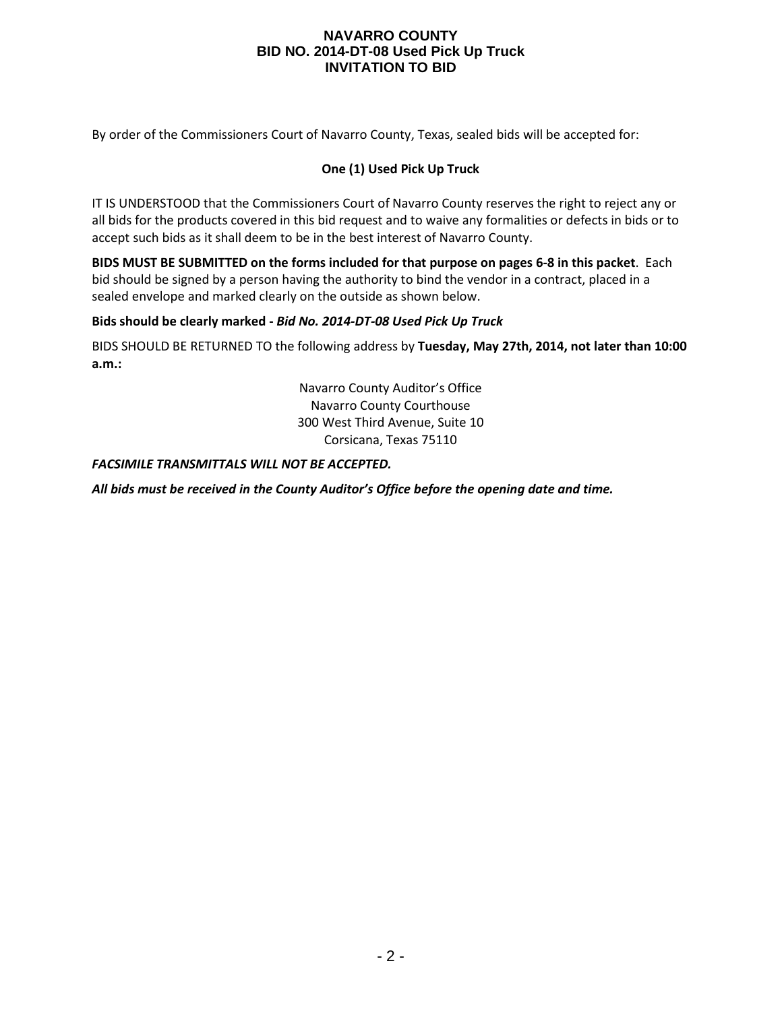By order of the Commissioners Court of Navarro County, Texas, sealed bids will be accepted for:

### **One (1) Used Pick Up Truck**

IT IS UNDERSTOOD that the Commissioners Court of Navarro County reserves the right to reject any or all bids for the products covered in this bid request and to waive any formalities or defects in bids or to accept such bids as it shall deem to be in the best interest of Navarro County.

**BIDS MUST BE SUBMITTED on the forms included for that purpose on pages 6-8 in this packet**. Each bid should be signed by a person having the authority to bind the vendor in a contract, placed in a sealed envelope and marked clearly on the outside as shown below.

### **Bids should be clearly marked -** *Bid No. 2014-DT-08 Used Pick Up Truck*

BIDS SHOULD BE RETURNED TO the following address by **Tuesday, May 27th, 2014, not later than 10:00 a.m.:**

> Navarro County Auditor's Office Navarro County Courthouse 300 West Third Avenue, Suite 10 Corsicana, Texas 75110

#### *FACSIMILE TRANSMITTALS WILL NOT BE ACCEPTED.*

*All bids must be received in the County Auditor's Office before the opening date and time.*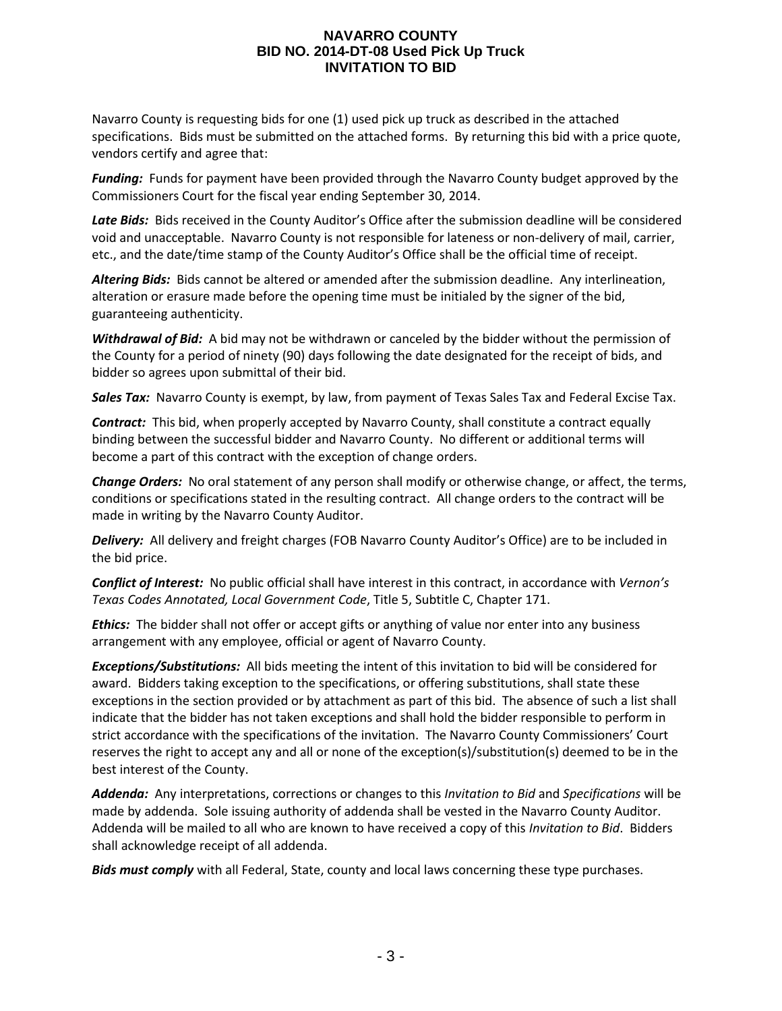Navarro County is requesting bids for one (1) used pick up truck as described in the attached specifications. Bids must be submitted on the attached forms. By returning this bid with a price quote, vendors certify and agree that:

*Funding:* Funds for payment have been provided through the Navarro County budget approved by the Commissioners Court for the fiscal year ending September 30, 2014.

Late Bids: Bids received in the County Auditor's Office after the submission deadline will be considered void and unacceptable. Navarro County is not responsible for lateness or non-delivery of mail, carrier, etc., and the date/time stamp of the County Auditor's Office shall be the official time of receipt.

*Altering Bids:* Bids cannot be altered or amended after the submission deadline. Any interlineation, alteration or erasure made before the opening time must be initialed by the signer of the bid, guaranteeing authenticity.

*Withdrawal of Bid:* A bid may not be withdrawn or canceled by the bidder without the permission of the County for a period of ninety (90) days following the date designated for the receipt of bids, and bidder so agrees upon submittal of their bid.

*Sales Tax:* Navarro County is exempt, by law, from payment of Texas Sales Tax and Federal Excise Tax.

*Contract:* This bid, when properly accepted by Navarro County, shall constitute a contract equally binding between the successful bidder and Navarro County. No different or additional terms will become a part of this contract with the exception of change orders.

*Change Orders:* No oral statement of any person shall modify or otherwise change, or affect, the terms, conditions or specifications stated in the resulting contract. All change orders to the contract will be made in writing by the Navarro County Auditor.

*Delivery:* All delivery and freight charges (FOB Navarro County Auditor's Office) are to be included in the bid price.

*Conflict of Interest:* No public official shall have interest in this contract, in accordance with *Vernon's Texas Codes Annotated, Local Government Code*, Title 5, Subtitle C, Chapter 171.

*Ethics:* The bidder shall not offer or accept gifts or anything of value nor enter into any business arrangement with any employee, official or agent of Navarro County.

*Exceptions/Substitutions:* All bids meeting the intent of this invitation to bid will be considered for award. Bidders taking exception to the specifications, or offering substitutions, shall state these exceptions in the section provided or by attachment as part of this bid. The absence of such a list shall indicate that the bidder has not taken exceptions and shall hold the bidder responsible to perform in strict accordance with the specifications of the invitation. The Navarro County Commissioners' Court reserves the right to accept any and all or none of the exception(s)/substitution(s) deemed to be in the best interest of the County.

*Addenda:* Any interpretations, corrections or changes to this *Invitation to Bid* and *Specifications* will be made by addenda. Sole issuing authority of addenda shall be vested in the Navarro County Auditor. Addenda will be mailed to all who are known to have received a copy of this *Invitation to Bid*. Bidders shall acknowledge receipt of all addenda.

*Bids must comply* with all Federal, State, county and local laws concerning these type purchases.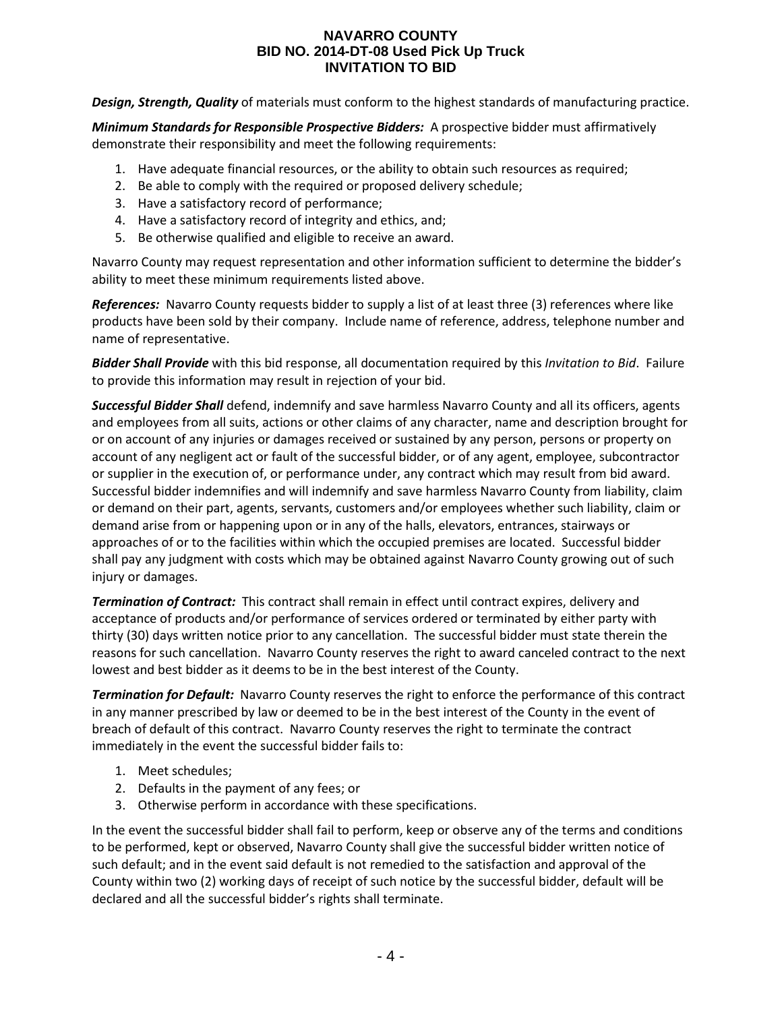*Design, Strength, Quality* of materials must conform to the highest standards of manufacturing practice.

*Minimum Standards for Responsible Prospective Bidders:* A prospective bidder must affirmatively demonstrate their responsibility and meet the following requirements:

- 1. Have adequate financial resources, or the ability to obtain such resources as required;
- 2. Be able to comply with the required or proposed delivery schedule;
- 3. Have a satisfactory record of performance;
- 4. Have a satisfactory record of integrity and ethics, and;
- 5. Be otherwise qualified and eligible to receive an award.

Navarro County may request representation and other information sufficient to determine the bidder's ability to meet these minimum requirements listed above.

*References:* Navarro County requests bidder to supply a list of at least three (3) references where like products have been sold by their company. Include name of reference, address, telephone number and name of representative.

*Bidder Shall Provide* with this bid response, all documentation required by this *Invitation to Bid*. Failure to provide this information may result in rejection of your bid.

*Successful Bidder Shall* defend, indemnify and save harmless Navarro County and all its officers, agents and employees from all suits, actions or other claims of any character, name and description brought for or on account of any injuries or damages received or sustained by any person, persons or property on account of any negligent act or fault of the successful bidder, or of any agent, employee, subcontractor or supplier in the execution of, or performance under, any contract which may result from bid award. Successful bidder indemnifies and will indemnify and save harmless Navarro County from liability, claim or demand on their part, agents, servants, customers and/or employees whether such liability, claim or demand arise from or happening upon or in any of the halls, elevators, entrances, stairways or approaches of or to the facilities within which the occupied premises are located. Successful bidder shall pay any judgment with costs which may be obtained against Navarro County growing out of such injury or damages.

*Termination of Contract:* This contract shall remain in effect until contract expires, delivery and acceptance of products and/or performance of services ordered or terminated by either party with thirty (30) days written notice prior to any cancellation. The successful bidder must state therein the reasons for such cancellation. Navarro County reserves the right to award canceled contract to the next lowest and best bidder as it deems to be in the best interest of the County.

*Termination for Default:* Navarro County reserves the right to enforce the performance of this contract in any manner prescribed by law or deemed to be in the best interest of the County in the event of breach of default of this contract. Navarro County reserves the right to terminate the contract immediately in the event the successful bidder fails to:

- 1. Meet schedules;
- 2. Defaults in the payment of any fees; or
- 3. Otherwise perform in accordance with these specifications.

In the event the successful bidder shall fail to perform, keep or observe any of the terms and conditions to be performed, kept or observed, Navarro County shall give the successful bidder written notice of such default; and in the event said default is not remedied to the satisfaction and approval of the County within two (2) working days of receipt of such notice by the successful bidder, default will be declared and all the successful bidder's rights shall terminate.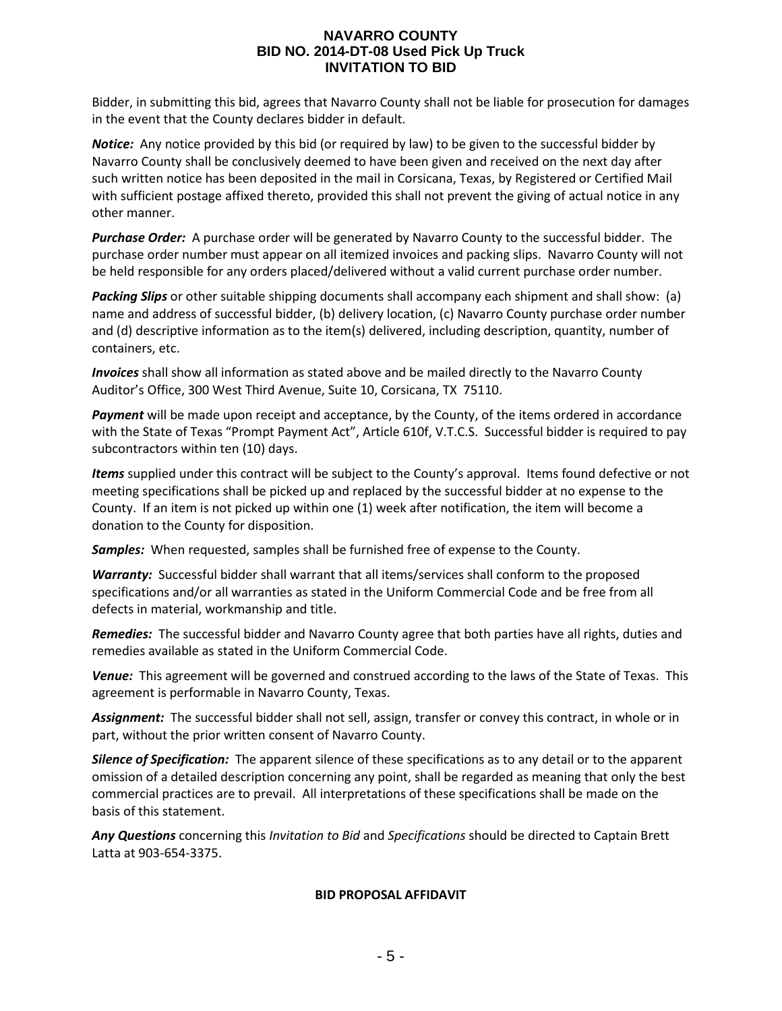Bidder, in submitting this bid, agrees that Navarro County shall not be liable for prosecution for damages in the event that the County declares bidder in default.

*Notice:* Any notice provided by this bid (or required by law) to be given to the successful bidder by Navarro County shall be conclusively deemed to have been given and received on the next day after such written notice has been deposited in the mail in Corsicana, Texas, by Registered or Certified Mail with sufficient postage affixed thereto, provided this shall not prevent the giving of actual notice in any other manner.

*Purchase Order:* A purchase order will be generated by Navarro County to the successful bidder. The purchase order number must appear on all itemized invoices and packing slips. Navarro County will not be held responsible for any orders placed/delivered without a valid current purchase order number.

*Packing Slips* or other suitable shipping documents shall accompany each shipment and shall show: (a) name and address of successful bidder, (b) delivery location, (c) Navarro County purchase order number and (d) descriptive information as to the item(s) delivered, including description, quantity, number of containers, etc.

*Invoices* shall show all information as stated above and be mailed directly to the Navarro County Auditor's Office, 300 West Third Avenue, Suite 10, Corsicana, TX 75110.

*Payment* will be made upon receipt and acceptance, by the County, of the items ordered in accordance with the State of Texas "Prompt Payment Act", Article 610f, V.T.C.S. Successful bidder is required to pay subcontractors within ten (10) days.

*Items* supplied under this contract will be subject to the County's approval. Items found defective or not meeting specifications shall be picked up and replaced by the successful bidder at no expense to the County. If an item is not picked up within one (1) week after notification, the item will become a donation to the County for disposition.

*Samples:* When requested, samples shall be furnished free of expense to the County.

*Warranty:* Successful bidder shall warrant that all items/services shall conform to the proposed specifications and/or all warranties as stated in the Uniform Commercial Code and be free from all defects in material, workmanship and title.

*Remedies:* The successful bidder and Navarro County agree that both parties have all rights, duties and remedies available as stated in the Uniform Commercial Code.

*Venue:* This agreement will be governed and construed according to the laws of the State of Texas. This agreement is performable in Navarro County, Texas.

*Assignment:* The successful bidder shall not sell, assign, transfer or convey this contract, in whole or in part, without the prior written consent of Navarro County.

*Silence of Specification:* The apparent silence of these specifications as to any detail or to the apparent omission of a detailed description concerning any point, shall be regarded as meaning that only the best commercial practices are to prevail. All interpretations of these specifications shall be made on the basis of this statement.

*Any Questions* concerning this *Invitation to Bid* and *Specifications* should be directed to Captain Brett Latta at 903-654-3375.

#### **BID PROPOSAL AFFIDAVIT**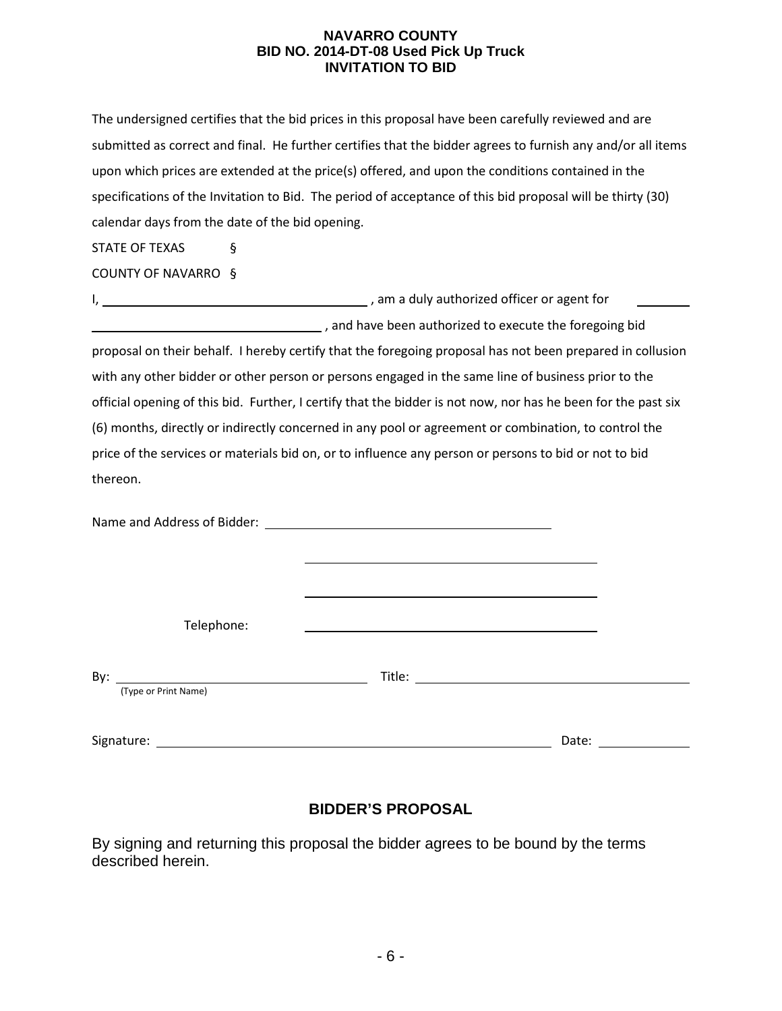The undersigned certifies that the bid prices in this proposal have been carefully reviewed and are submitted as correct and final. He further certifies that the bidder agrees to furnish any and/or all items upon which prices are extended at the price(s) offered, and upon the conditions contained in the specifications of the Invitation to Bid. The period of acceptance of this bid proposal will be thirty (30) calendar days from the date of the bid opening.

STATE OF TEXAS §

COUNTY OF NAVARRO §

I, , am a duly authorized officer or agent for , and have been authorized to execute the foregoing bid proposal on their behalf. I hereby certify that the foregoing proposal has not been prepared in collusion

with any other bidder or other person or persons engaged in the same line of business prior to the official opening of this bid. Further, I certify that the bidder is not now, nor has he been for the past six (6) months, directly or indirectly concerned in any pool or agreement or combination, to control the price of the services or materials bid on, or to influence any person or persons to bid or not to bid thereon.

| Telephone:                                                     |       |
|----------------------------------------------------------------|-------|
| By:<br><u> 1980 - Johann Barnett, fransk politik (f. 1980)</u> |       |
| (Type or Print Name)                                           |       |
| Signature:                                                     | Date: |

# **BIDDER'S PROPOSAL**

By signing and returning this proposal the bidder agrees to be bound by the terms described herein.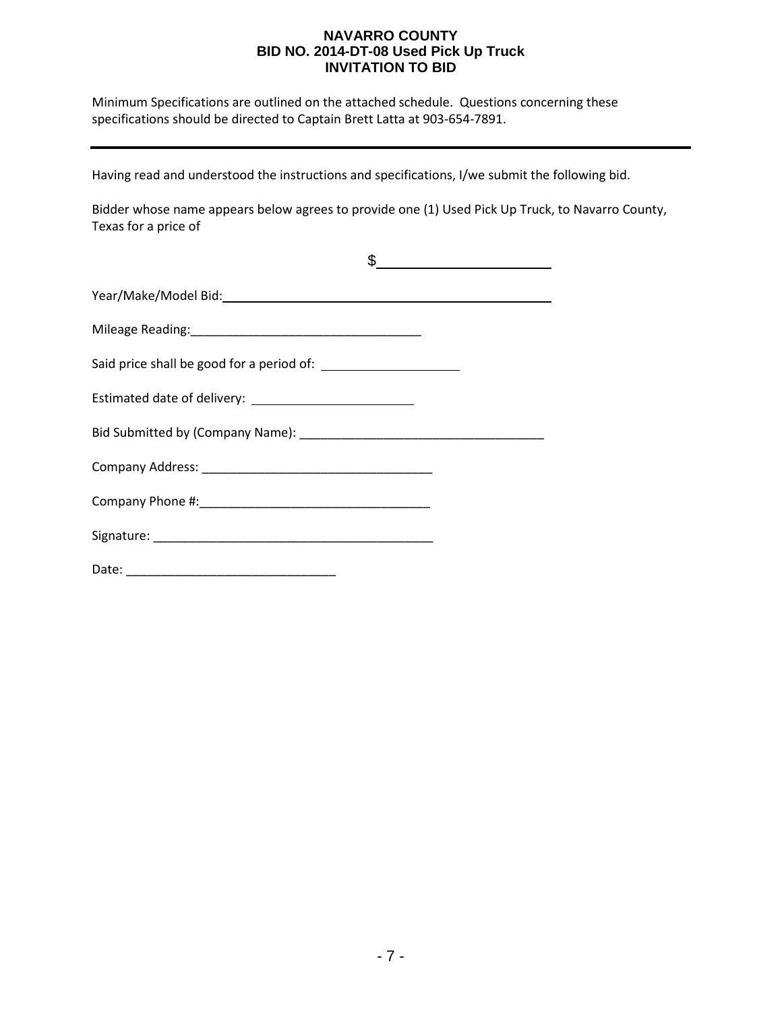Minimum Specifications are outlined on the attached schedule. Questions concerning these specifications should be directed to Captain Brett Latta at 903-654-7891.

Having read and understood the instructions and specifications, I/we submit the following bid.

Bidder whose name appears below agrees to provide one (1) Used Pick Up Truck, to Navarro County, Texas for a price of

| <u> 1980 - Johann Barbara, martin a</u> |
|-----------------------------------------|
|                                         |
|                                         |
|                                         |
|                                         |
|                                         |
|                                         |
|                                         |
|                                         |
|                                         |